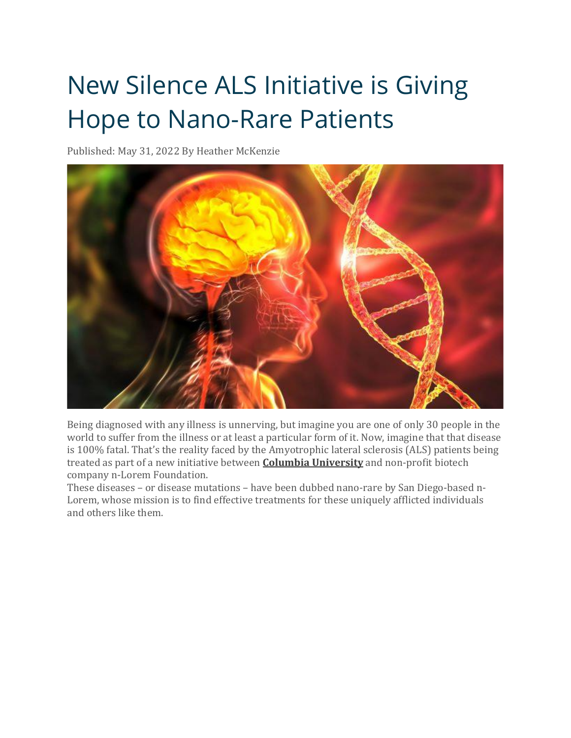## New Silence ALS Initiative is Giving Hope to Nano-Rare Patients

Published: May 31, 2022 By Heather McKenzie



Being diagnosed with any illness is unnerving, but imagine you are one of only 30 people in the world to suffer from the illness or at least a particular form of it. Now, imagine that that disease is 100% fatal. That's the reality faced by the Amyotrophic lateral sclerosis (ALS) patients being treated as part of a new initiative between **Columbia [University](https://www.biospace.com/employer/2395732/columbia-university/)** and non-profit biotech company n-Lorem Foundation.

These diseases – or disease mutations – have been dubbed nano-rare by San Diego-based n-Lorem, whose mission is to find effective treatments for these uniquely afflicted individuals and others like them.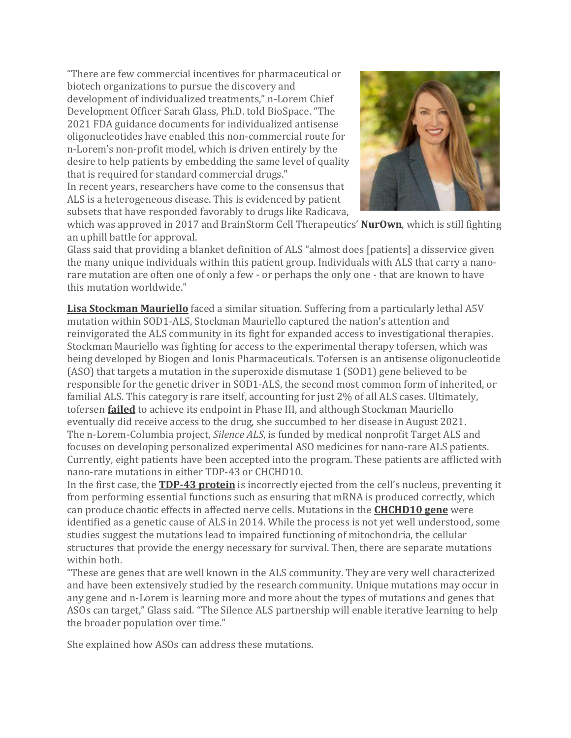"There are few commercial incentives for pharmaceutical or biotech organizations to pursue the discovery and development of individualized treatments," n-Lorem Chief Development Officer Sarah Glass, Ph.D. told BioSpace. "The 2021 FDA guidance documents for individualized antisense oligonucleotides have enabled this non-commercial route for n-Lorem's non-profit model, which is driven entirely by the desire to help patients by embedding the same level of quality that is required for standard commercial drugs."

In recent years, researchers have come to the consensus that ALS is a heterogeneous disease. This is evidenced by patient subsets that have responded favorably to drugs like Radicava,



which was approved in 2017 and BrainStorm Cell Therapeutics' **[NurOwn](https://www.biospace.com/article/nurown-a-study-in-the-complexity-of-als-trials-/)**, which is still fighting an uphill battle for approval.

Glass said that providing a blanket definition of ALS "almost does [patients] a disservice given the many unique individuals within this patient group. Individuals with ALS that carry a nanorare mutation are often one of only a few - or perhaps the only one - that are known to have this mutation worldwide."

**Lisa [Stockman](https://www.biospace.com/article/als-patients-fight-for-the-right-to-try-and-patient-centric-trial-design-/?keywords=tofersen) Mauriello** faced a similar situation. Suffering from a particularly lethal A5V mutation within SOD1-ALS, Stockman Mauriello captured the nation's attention and reinvigorated the ALS community in its fight for expanded access to investigational therapies. Stockman Mauriello was fighting for access to the experimental therapy tofersen, which was being developed by Biogen and Ionis Pharmaceuticals. Tofersen is an antisense oligonucleotide (ASO) that targets a mutation in the superoxide dismutase 1 (SOD1) gene believed to be responsible for the genetic driver in SOD1-ALS, the second most common form of inherited, or familial ALS. This category is rare itself, accounting for just 2% of all ALS cases. Ultimately, tofersen **[failed](https://www.biospace.com/article/biogen-s-als-drug-misses-the-mark-but-company-presents-positive-spin/)** to achieve its endpoint in Phase III, and although Stockman Mauriello eventually did receive access to the drug, she succumbed to her disease in August 2021. The n-Lorem-Columbia project, *Silence ALS*, is funded by medical nonprofit Target ALS and focuses on developing personalized experimental ASO medicines for nano-rare ALS patients. Currently, eight patients have been accepted into the program. These patients are afflicted with nano-rare mutations in either TDP-43 or CHCHD10.

In the first case, the **[TDP-43](https://www.biospace.com/article/mechanistic-discovery-could-lead-to-new-treatment-target-in-als-dementia-/) protein** is incorrectly ejected from the cell's nucleus, preventing it from performing essential functions such as ensuring that mRNA is produced correctly, which can produce chaotic effects in affected nerve cells. Mutations in the **[CHCHD10](https://als.ca/blogs/als-canada-research-update-june-2021/#:~:text=In%202014%2C%20mutations%20in%20the%20CHCHD10%20gene%20were,cells%20that%20provide%20the%20energy%20needed%20to%20survive.) gene** were identified as a genetic cause of ALS in 2014. While the process is not yet well understood, some studies suggest the mutations lead to impaired functioning of mitochondria, the cellular structures that provide the energy necessary for survival. Then, there are separate mutations within both.

"These are genes that are well known in the ALS community. They are very well characterized and have been extensively studied by the research community. Unique mutations may occur in any gene and n-Lorem is learning more and more about the types of mutations and genes that ASOs can target," Glass said. "The Silence ALS partnership will enable iterative learning to help the broader population over time."

She explained how ASOs can address these mutations.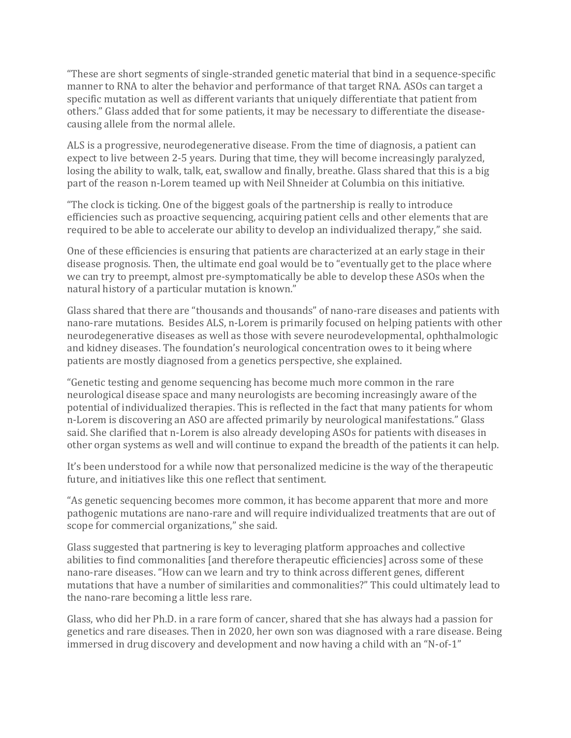"These are short segments of single-stranded genetic material that bind in a sequence-specific manner to RNA to alter the behavior and performance of that target RNA. ASOs can target a specific mutation as well as different variants that uniquely differentiate that patient from others." Glass added that for some patients, it may be necessary to differentiate the diseasecausing allele from the normal allele.

ALS is a progressive, neurodegenerative disease. From the time of diagnosis, a patient can expect to live between 2-5 years. During that time, they will become increasingly paralyzed, losing the ability to walk, talk, eat, swallow and finally, breathe. Glass shared that this is a big part of the reason n-Lorem teamed up with Neil Shneider at Columbia on this initiative.

"The clock is ticking. One of the biggest goals of the partnership is really to introduce efficiencies such as proactive sequencing, acquiring patient cells and other elements that are required to be able to accelerate our ability to develop an individualized therapy," she said.

One of these efficiencies is ensuring that patients are characterized at an early stage in their disease prognosis. Then, the ultimate end goal would be to "eventually get to the place where we can try to preempt, almost pre-symptomatically be able to develop these ASOs when the natural history of a particular mutation is known."

Glass shared that there are "thousands and thousands" of nano-rare diseases and patients with nano-rare mutations. Besides ALS, n-Lorem is primarily focused on helping patients with other neurodegenerative diseases as well as those with severe neurodevelopmental, ophthalmologic and kidney diseases. The foundation's neurological concentration owes to it being where patients are mostly diagnosed from a genetics perspective, she explained.

"Genetic testing and genome sequencing has become much more common in the rare neurological disease space and many neurologists are becoming increasingly aware of the potential of individualized therapies. This is reflected in the fact that many patients for whom n-Lorem is discovering an ASO are affected primarily by neurological manifestations." Glass said. She clarified that n-Lorem is also already developing ASOs for patients with diseases in other organ systems as well and will continue to expand the breadth of the patients it can help.

It's been understood for a while now that personalized medicine is the way of the therapeutic future, and initiatives like this one reflect that sentiment.

"As genetic sequencing becomes more common, it has become apparent that more and more pathogenic mutations are nano-rare and will require individualized treatments that are out of scope for commercial organizations," she said.

Glass suggested that partnering is key to leveraging platform approaches and collective abilities to find commonalities [and therefore therapeutic efficiencies] across some of these nano-rare diseases. "How can we learn and try to think across different genes, different mutations that have a number of similarities and commonalities?" This could ultimately lead to the nano-rare becoming a little less rare.

Glass, who did her Ph.D. in a rare form of cancer, shared that she has always had a passion for genetics and rare diseases. Then in 2020, her own son was diagnosed with a rare disease. Being immersed in drug discovery and development and now having a child with an "N-of-1"